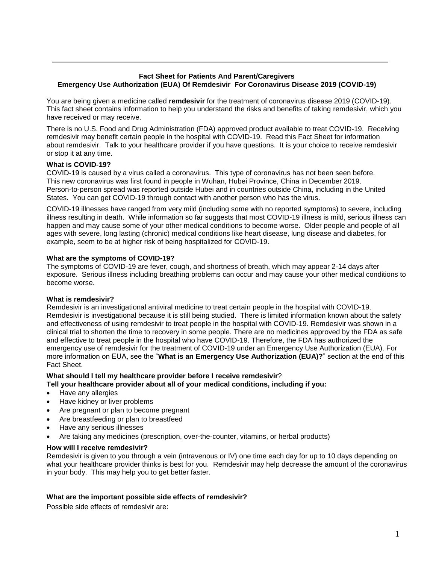# **Fact Sheet for Patients And Parent/Caregivers Emergency Use Authorization (EUA) Of Remdesivir For Coronavirus Disease 2019 (COVID-19)**

You are being given a medicine called **remdesivir** for the treatment of coronavirus disease 2019 (COVID-19). This fact sheet contains information to help you understand the risks and benefits of taking remdesivir, which you have received or may receive.

There is no U.S. Food and Drug Administration (FDA) approved product available to treat COVID-19. Receiving remdesivir may benefit certain people in the hospital with COVID-19. Read this Fact Sheet for information about remdesivir. Talk to your healthcare provider if you have questions. It is your choice to receive remdesivir or stop it at any time.

# **What is COVID-19?**

COVID-19 is caused by a virus called a coronavirus. This type of coronavirus has not been seen before. This new coronavirus was first found in people in Wuhan, Hubei Province, China in December 2019. Person-to-person spread was reported outside Hubei and in countries outside China, including in the United States. You can get COVID-19 through contact with another person who has the virus.

COVID-19 illnesses have ranged from very mild (including some with no reported symptoms) to severe, including illness resulting in death. While information so far suggests that most COVID-19 illness is mild, serious illness can happen and may cause some of your other medical conditions to become worse. Older people and people of all ages with severe, long lasting (chronic) medical conditions like heart disease, lung disease and diabetes, for example, seem to be at higher risk of being hospitalized for COVID-19.

## **What are the symptoms of COVID-19?**

The symptoms of COVID-19 are fever, cough, and shortness of breath, which may appear 2-14 days after exposure. Serious illness including breathing problems can occur and may cause your other medical conditions to become worse.

### **What is remdesivir?**

Remdesivir is an investigational antiviral medicine to treat certain people in the hospital with COVID-19. Remdesivir is investigational because it is still being studied. There is limited information known about the safety and effectiveness of using remdesivir to treat people in the hospital with COVID-19. Remdesivir was shown in a clinical trial to shorten the time to recovery in some people. There are no medicines approved by the FDA as safe and effective to treat people in the hospital who have COVID-19. Therefore, the FDA has authorized the emergency use of remdesivir for the treatment of COVID-19 under an Emergency Use Authorization (EUA). For more information on EUA, see the "**What is an Emergency Use Authorization (EUA)?**" section at the end of this Fact Sheet.

# **What should I tell my healthcare provider before I receive remdesivir**?

### **Tell your healthcare provider about all of your medical conditions, including if you:**

- Have any allergies
- Have kidney or liver problems
- Are pregnant or plan to become pregnant
- Are breastfeeding or plan to breastfeed
- Have any serious illnesses
- Are taking any medicines (prescription, over-the-counter, vitamins, or herbal products)

### **How will I receive remdesivir?**

Remdesivir is given to you through a vein (intravenous or IV) one time each day for up to 10 days depending on what your healthcare provider thinks is best for you. Remdesivir may help decrease the amount of the coronavirus in your body. This may help you to get better faster.

### **What are the important possible side effects of remdesivir?**

Possible side effects of remdesivir are: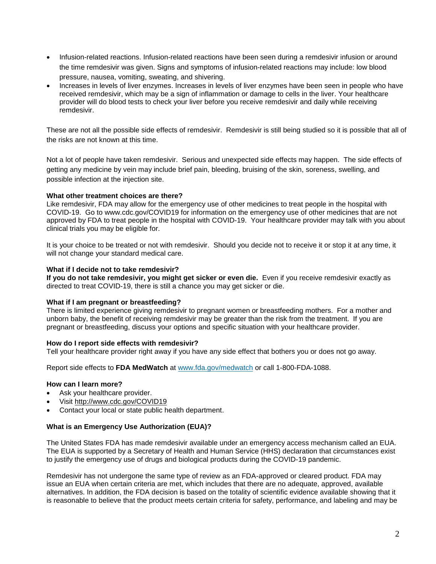- Infusion-related reactions. Infusion-related reactions have been seen during a remdesivir infusion or around the time remdesivir was given. Signs and symptoms of infusion-related reactions may include: low blood pressure, nausea, vomiting, sweating, and shivering.
- Increases in levels of liver enzymes. Increases in levels of liver enzymes have been seen in people who have received remdesivir, which may be a sign of inflammation or damage to cells in the liver. Your healthcare provider will do blood tests to check your liver before you receive remdesivir and daily while receiving remdesivir.

These are not all the possible side effects of remdesivir. Remdesivir is still being studied so it is possible that all of the risks are not known at this time.

Not a lot of people have taken remdesivir. Serious and unexpected side effects may happen. The side effects of getting any medicine by vein may include brief pain, bleeding, bruising of the skin, soreness, swelling, and possible infection at the injection site.

### **What other treatment choices are there?**

Like remdesivir, FDA may allow for the emergency use of other medicines to treat people in the hospital with COVID-19. Go to www.cdc.gov/COVID19 for information on the emergency use of other medicines that are not approved by FDA to treat people in the hospital with COVID-19. Your healthcare provider may talk with you about clinical trials you may be eligible for.

It is your choice to be treated or not with remdesivir. Should you decide not to receive it or stop it at any time, it will not change your standard medical care.

### **What if I decide not to take remdesivir?**

**If you do not take remdesivir, you might get sicker or even die.** Even if you receive remdesivir exactly as directed to treat COVID-19, there is still a chance you may get sicker or die.

### **What if I am pregnant or breastfeeding?**

There is limited experience giving remdesivir to pregnant women or breastfeeding mothers. For a mother and unborn baby, the benefit of receiving remdesivir may be greater than the risk from the treatment. If you are pregnant or breastfeeding, discuss your options and specific situation with your healthcare provider.

### **How do I report side effects with remdesivir?**

Tell your healthcare provider right away if you have any side effect that bothers you or does not go away.

Report side effects to **FDA MedWatch** at [www.fda.gov/medwatch](http://www.fda.gov/medwatch) [or call 1-800-FDA-1088.](http://www.fda.gov/medwatch%20or%20call%201-800-FDA-1088)

### **How can I learn more?**

- Ask your healthcare provider.
- Visit <http://www.cdc.gov/COVID19>
- Contact your local or state public health department.

#### **What is an Emergency Use Authorization (EUA)?**

The United States FDA has made remdesivir available under an emergency access mechanism called an EUA. The EUA is supported by a Secretary of Health and Human Service (HHS) declaration that circumstances exist to justify the emergency use of drugs and biological products during the COVID-19 pandemic.

Remdesivir has not undergone the same type of review as an FDA-approved or cleared product. FDA may issue an EUA when certain criteria are met, which includes that there are no adequate, approved, available alternatives. In addition, the FDA decision is based on the totality of scientific evidence available showing that it is reasonable to believe that the product meets certain criteria for safety, performance, and labeling and may be